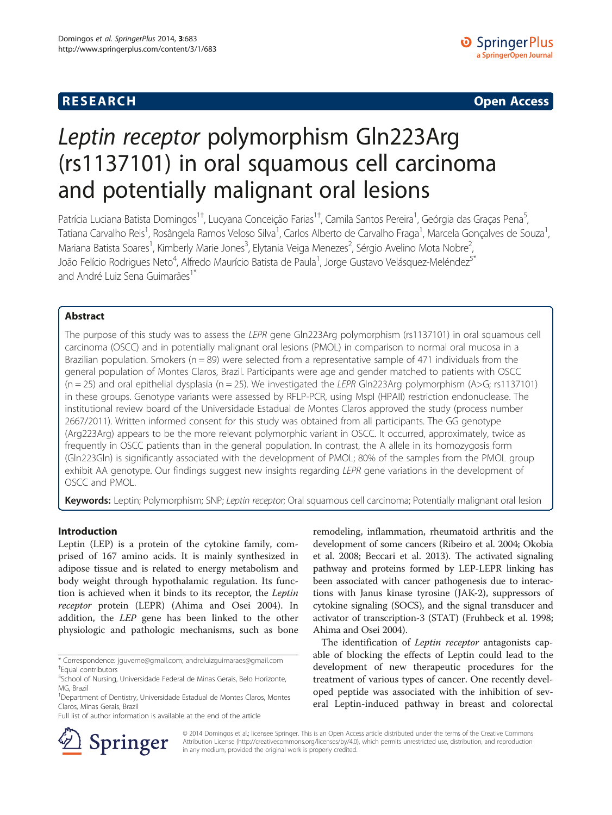## **RESEARCH RESEARCH CONSUMING ACCESS**

# Leptin receptor polymorphism Gln223Arg (rs1137101) in oral squamous cell carcinoma and potentially malignant oral lesions

Patrícia Luciana Batista Domingos<sup>1†</sup>, Lucyana Conceição Farias<sup>1†</sup>, Camila Santos Pereira<sup>1</sup>, Geórgia das Graças Pena<sup>5</sup> , Tatiana Carvalho Reis<sup>1</sup>, Rosângela Ramos Veloso Silva<sup>1</sup>, Carlos Alberto de Carvalho Fraga<sup>1</sup>, Marcela Gonçalves de Souza<sup>1</sup> , Mariana Batista Soares<sup>1</sup>, Kimberly Marie Jones<sup>3</sup>, Elytania Veiga Menezes<sup>2</sup>, Sérgio Avelino Mota Nobre<sup>2</sup> .<br>, João Felício Rodrigues Neto<sup>4</sup>, Alfredo Maurício Batista de Paula<sup>1</sup>, Jorge Gustavo Velásquez-Meléndez<sup>5\*</sup> and André Luiz Sena Guimarães<sup>1</sup>

## Abstract

The purpose of this study was to assess the LEPR gene Gln223Arg polymorphism (rs1137101) in oral squamous cell carcinoma (OSCC) and in potentially malignant oral lesions (PMOL) in comparison to normal oral mucosa in a Brazilian population. Smokers ( $n = 89$ ) were selected from a representative sample of 471 individuals from the general population of Montes Claros, Brazil. Participants were age and gender matched to patients with OSCC  $(n = 25)$  and oral epithelial dysplasia  $(n = 25)$ . We investigated the LEPR Gln223Arg polymorphism (A>G; rs1137101) in these groups. Genotype variants were assessed by RFLP-PCR, using MspI (HPAII) restriction endonuclease. The institutional review board of the Universidade Estadual de Montes Claros approved the study (process number 2667/2011). Written informed consent for this study was obtained from all participants. The GG genotype (Arg223Arg) appears to be the more relevant polymorphic variant in OSCC. It occurred, approximately, twice as frequently in OSCC patients than in the general population. In contrast, the A allele in its homozygosis form (Gln223Gln) is significantly associated with the development of PMOL; 80% of the samples from the PMOL group exhibit AA genotype. Our findings suggest new insights regarding LEPR gene variations in the development of OSCC and PMOL.

Keywords: Leptin; Polymorphism; SNP; Leptin receptor; Oral squamous cell carcinoma; Potentially malignant oral lesion

### Introduction

Leptin (LEP) is a protein of the cytokine family, comprised of 167 amino acids. It is mainly synthesized in adipose tissue and is related to energy metabolism and body weight through hypothalamic regulation. Its function is achieved when it binds to its receptor, the Leptin receptor protein (LEPR) (Ahima and Osei [2004](#page-4-0)). In addition, the LEP gene has been linked to the other physiologic and pathologic mechanisms, such as bone

remodeling, inflammation, rheumatoid arthritis and the development of some cancers (Ribeiro et al. [2004](#page-4-0); Okobia et al. [2008](#page-4-0); Beccari et al. [2013\)](#page-4-0). The activated signaling pathway and proteins formed by LEP-LEPR linking has been associated with cancer pathogenesis due to interactions with Janus kinase tyrosine (JAK-2), suppressors of cytokine signaling (SOCS), and the signal transducer and activator of transcription-3 (STAT) (Fruhbeck et al. [1998](#page-4-0); Ahima and Osei [2004\)](#page-4-0).

The identification of Leptin receptor antagonists capable of blocking the effects of Leptin could lead to the development of new therapeutic procedures for the treatment of various types of cancer. One recently developed peptide was associated with the inhibition of several Leptin-induced pathway in breast and colorectal



© 2014 Domingos et al.; licensee Springer. This is an Open Access article distributed under the terms of the Creative Commons Attribution License [\(http://creativecommons.org/licenses/by/4.0\)](http://creativecommons.org/licenses/by/4.0), which permits unrestricted use, distribution, and reproduction in any medium, provided the original work is properly credited.

<sup>\*</sup> Correspondence: [jguveme@gmail.com](mailto:jguveme@gmail.com); [andreluizguimaraes@gmail.com](mailto:andreluizguimaraes@gmail.com) † Equal contributors

<sup>5</sup> School of Nursing, Universidade Federal de Minas Gerais, Belo Horizonte, MG, Brazil

<sup>&</sup>lt;sup>1</sup>Department of Dentistry, Universidade Estadual de Montes Claros, Montes Claros, Minas Gerais, Brazil

Full list of author information is available at the end of the article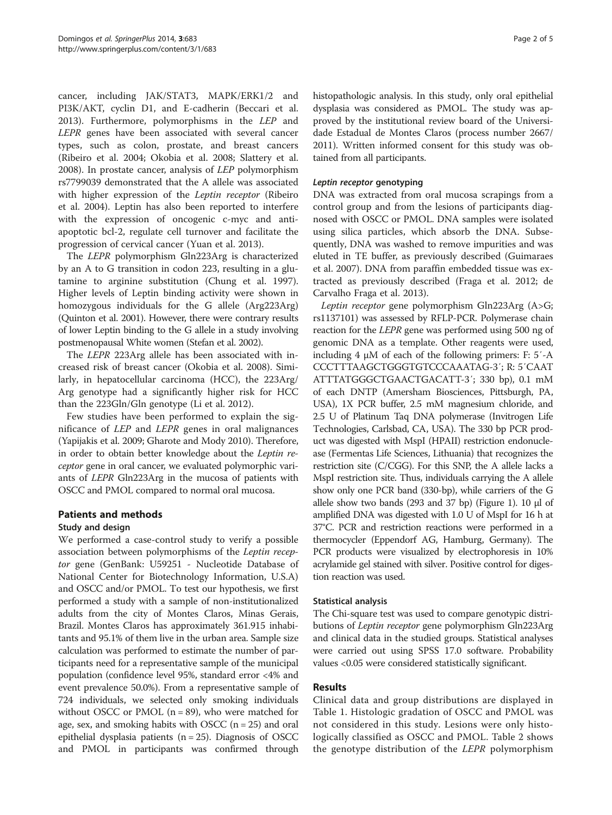cancer, including JAK/STAT3, MAPK/ERK1/2 and PI3K/AKT, cyclin D1, and E-cadherin (Beccari et al. [2013](#page-4-0)). Furthermore, polymorphisms in the LEP and LEPR genes have been associated with several cancer types, such as colon, prostate, and breast cancers (Ribeiro et al. [2004;](#page-4-0) Okobia et al. [2008;](#page-4-0) Slattery et al. [2008](#page-4-0)). In prostate cancer, analysis of LEP polymorphism rs7799039 demonstrated that the A allele was associated with higher expression of the Leptin receptor (Ribeiro et al. [2004\)](#page-4-0). Leptin has also been reported to interfere with the expression of oncogenic c-myc and antiapoptotic bcl-2, regulate cell turnover and facilitate the progression of cervical cancer (Yuan et al. [2013\)](#page-4-0).

The LEPR polymorphism Gln223Arg is characterized by an A to G transition in codon 223, resulting in a glutamine to arginine substitution (Chung et al. [1997](#page-4-0)). Higher levels of Leptin binding activity were shown in homozygous individuals for the G allele (Arg223Arg) (Quinton et al. [2001\)](#page-4-0). However, there were contrary results of lower Leptin binding to the G allele in a study involving postmenopausal White women (Stefan et al. [2002](#page-4-0)).

The LEPR 223Arg allele has been associated with increased risk of breast cancer (Okobia et al. [2008\)](#page-4-0). Similarly, in hepatocellular carcinoma (HCC), the 223Arg/ Arg genotype had a significantly higher risk for HCC than the 223Gln/Gln genotype (Li et al. [2012\)](#page-4-0).

Few studies have been performed to explain the significance of LEP and LEPR genes in oral malignances (Yapijakis et al. [2009](#page-4-0); Gharote and Mody [2010](#page-4-0)). Therefore, in order to obtain better knowledge about the Leptin receptor gene in oral cancer, we evaluated polymorphic variants of LEPR Gln223Arg in the mucosa of patients with OSCC and PMOL compared to normal oral mucosa.

## Patients and methods

## Study and design

We performed a case-control study to verify a possible association between polymorphisms of the Leptin receptor gene (GenBank: U59251 - Nucleotide Database of National Center for Biotechnology Information, U.S.A) and OSCC and/or PMOL. To test our hypothesis, we first performed a study with a sample of non-institutionalized adults from the city of Montes Claros, Minas Gerais, Brazil. Montes Claros has approximately 361.915 inhabitants and 95.1% of them live in the urban area. Sample size calculation was performed to estimate the number of participants need for a representative sample of the municipal population (confidence level 95%, standard error <4% and event prevalence 50.0%). From a representative sample of 724 individuals, we selected only smoking individuals without OSCC or PMOL  $(n = 89)$ , who were matched for age, sex, and smoking habits with OSCC  $(n = 25)$  and oral epithelial dysplasia patients  $(n = 25)$ . Diagnosis of OSCC and PMOL in participants was confirmed through histopathologic analysis. In this study, only oral epithelial dysplasia was considered as PMOL. The study was approved by the institutional review board of the Universidade Estadual de Montes Claros (process number 2667/ 2011). Written informed consent for this study was obtained from all participants.

## Leptin receptor genotyping

DNA was extracted from oral mucosa scrapings from a control group and from the lesions of participants diagnosed with OSCC or PMOL. DNA samples were isolated using silica particles, which absorb the DNA. Subsequently, DNA was washed to remove impurities and was eluted in TE buffer, as previously described (Guimaraes et al. [2007\)](#page-4-0). DNA from paraffin embedded tissue was extracted as previously described (Fraga et al. [2012](#page-4-0); de Carvalho Fraga et al. [2013\)](#page-4-0).

Leptin receptor gene polymorphism Gln223Arg (A>G; rs1137101) was assessed by RFLP-PCR. Polymerase chain reaction for the LEPR gene was performed using 500 ng of genomic DNA as a template. Other reagents were used, including 4 μM of each of the following primers: F: 5′-A CCCTTTAAGCTGGGTGTCCCAAATAG-3′; R: 5′CAAT ATTTATGGGCTGAACTGACATT-3′; 330 bp), 0.1 mM of each DNTP (Amersham Biosciences, Pittsburgh, PA, USA), 1X PCR buffer, 2.5 mM magnesium chloride, and 2.5 U of Platinum Taq DNA polymerase (Invitrogen Life Technologies, Carlsbad, CA, USA). The 330 bp PCR product was digested with MspI (HPAII) restriction endonuclease (Fermentas Life Sciences, Lithuania) that recognizes the restriction site (C/CGG). For this SNP, the A allele lacks a MspI restriction site. Thus, individuals carrying the A allele show only one PCR band (330-bp), while carriers of the G allele show two bands (293 and 37 bp) (Figure [1\)](#page-2-0). 10 μl of amplified DNA was digested with 1.0 U of MspI for 16 h at 37°C. PCR and restriction reactions were performed in a thermocycler (Eppendorf AG, Hamburg, Germany). The PCR products were visualized by electrophoresis in 10% acrylamide gel stained with silver. Positive control for digestion reaction was used.

## Statistical analysis

The Chi-square test was used to compare genotypic distributions of Leptin receptor gene polymorphism Gln223Arg and clinical data in the studied groups. Statistical analyses were carried out using SPSS 17.0 software. Probability values <0.05 were considered statistically significant.

## Results

Clinical data and group distributions are displayed in Table [1.](#page-2-0) Histologic gradation of OSCC and PMOL was not considered in this study. Lesions were only histologically classified as OSCC and PMOL. Table [2](#page-2-0) shows the genotype distribution of the LEPR polymorphism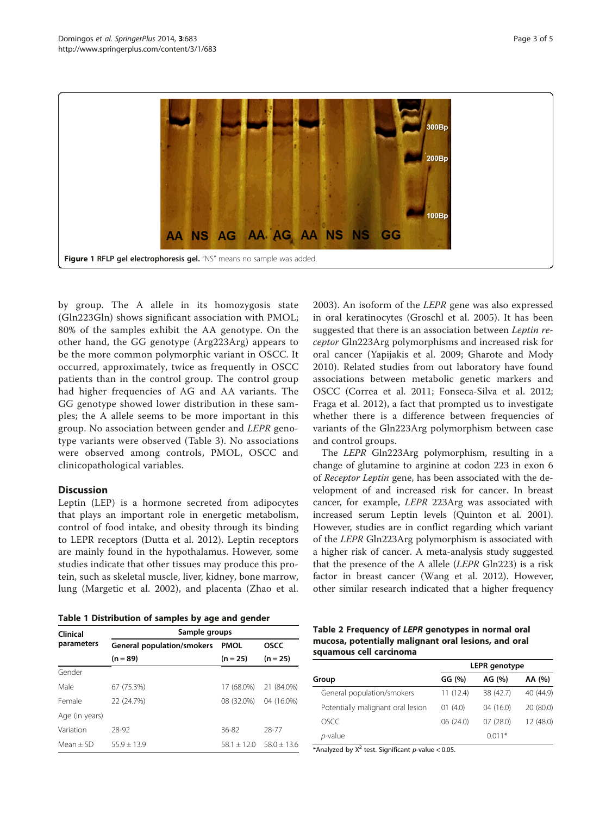<span id="page-2-0"></span>

by group. The A allele in its homozygosis state (Gln223Gln) shows significant association with PMOL; 80% of the samples exhibit the AA genotype. On the other hand, the GG genotype (Arg223Arg) appears to be the more common polymorphic variant in OSCC. It occurred, approximately, twice as frequently in OSCC patients than in the control group. The control group had higher frequencies of AG and AA variants. The GG genotype showed lower distribution in these samples; the A allele seems to be more important in this group. No association between gender and LEPR genotype variants were observed (Table [3\)](#page-3-0). No associations were observed among controls, PMOL, OSCC and clinicopathological variables.

## **Discussion**

Leptin (LEP) is a hormone secreted from adipocytes that plays an important role in energetic metabolism, control of food intake, and obesity through its binding to LEPR receptors (Dutta et al. [2012](#page-4-0)). Leptin receptors are mainly found in the hypothalamus. However, some studies indicate that other tissues may produce this protein, such as skeletal muscle, liver, kidney, bone marrow, lung (Margetic et al. [2002\)](#page-4-0), and placenta (Zhao et al.

Table 1 Distribution of samples by age and gender

| Clinical       | Sample groups                     |               |                 |  |  |  |
|----------------|-----------------------------------|---------------|-----------------|--|--|--|
| parameters     | <b>General population/smokers</b> | <b>PMOL</b>   | <b>OSCC</b>     |  |  |  |
|                | $(n = 89)$                        | $(n = 25)$    | $(n = 25)$      |  |  |  |
| Gender         |                                   |               |                 |  |  |  |
| Male           | 67 (75.3%)                        | 17 (68.0%)    | 21 (84.0%)      |  |  |  |
| Female         | 22 (24.7%)                        | 08 (32.0%)    | 04 (16.0%)      |  |  |  |
| Age (in years) |                                   |               |                 |  |  |  |
| Variation      | 28-92                             | 36-82         | 28-77           |  |  |  |
| $Mean + SD$    | $55.9 + 13.9$                     | $58.1 + 12.0$ | $58.0 \pm 13.6$ |  |  |  |

[2003](#page-4-0)). An isoform of the LEPR gene was also expressed in oral keratinocytes (Groschl et al. [2005](#page-4-0)). It has been suggested that there is an association between Leptin receptor Gln223Arg polymorphisms and increased risk for oral cancer (Yapijakis et al. [2009;](#page-4-0) Gharote and Mody [2010\)](#page-4-0). Related studies from out laboratory have found associations between metabolic genetic markers and OSCC (Correa et al. [2011](#page-4-0); Fonseca-Silva et al. [2012](#page-4-0); Fraga et al. [2012](#page-4-0)), a fact that prompted us to investigate whether there is a difference between frequencies of variants of the Gln223Arg polymorphism between case and control groups.

The LEPR Gln223Arg polymorphism, resulting in a change of glutamine to arginine at codon 223 in exon 6 of Receptor Leptin gene, has been associated with the development of and increased risk for cancer. In breast cancer, for example, LEPR 223Arg was associated with increased serum Leptin levels (Quinton et al. [2001](#page-4-0)). However, studies are in conflict regarding which variant of the LEPR Gln223Arg polymorphism is associated with a higher risk of cancer. A meta-analysis study suggested that the presence of the A allele (LEPR Gln223) is a risk factor in breast cancer (Wang et al. [2012\)](#page-4-0). However, other similar research indicated that a higher frequency

| Table 2 Frequency of LEPR genotypes in normal oral   |  |  |  |  |  |
|------------------------------------------------------|--|--|--|--|--|
| mucosa, potentially malignant oral lesions, and oral |  |  |  |  |  |
| squamous cell carcinoma                              |  |  |  |  |  |

|                                   | <b>LEPR</b> genotype |           |           |  |
|-----------------------------------|----------------------|-----------|-----------|--|
| Group                             | GG(%)                | AG (%)    | AA (%)    |  |
| General population/smokers        | 11(12.4)             | 38 (42.7) | 40 (44.9) |  |
| Potentially malignant oral lesion | 01(4.0)              | 04(16.0)  | 20 (80.0) |  |
| OSCC                              | 06 (24.0)            | 07(28.0)  | 12 (48.0) |  |
| p-value                           |                      | $0.011*$  |           |  |

\*Analyzed by  $X^2$  test. Significant p-value < 0.05.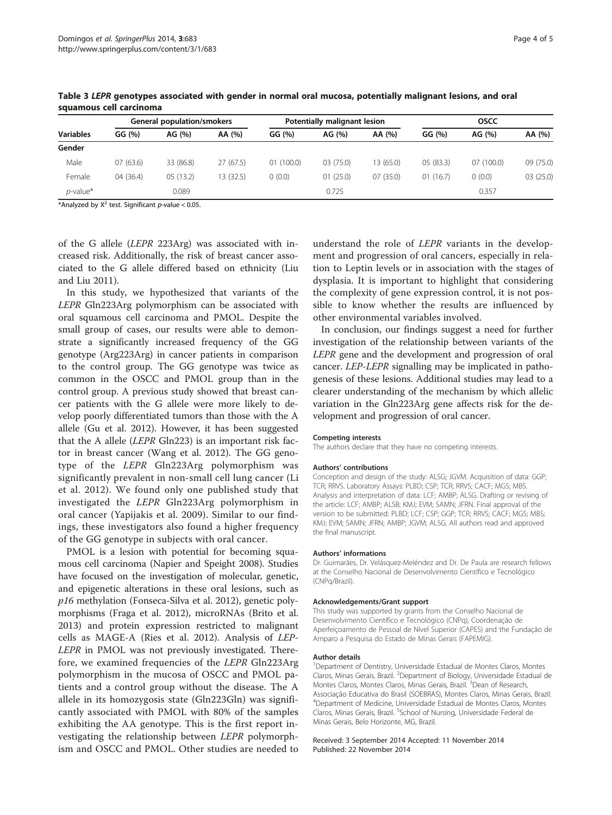|                       |           | Potentially malignant lesion |          |           | <b>OSCC</b> |           |           |
|-----------------------|-----------|------------------------------|----------|-----------|-------------|-----------|-----------|
| GG(%)<br>AG (%)       | AA (%)    | GG (%)                       | AG (%)   | AA (%)    | GG (%)      | AG (%)    | AA (%)    |
|                       |           |                              |          |           |             |           |           |
| 07(63.6)<br>33 (86.8) | 27(67.5)  | 01(100.0)                    | 03(75.0) | 13 (65.0) | 05(83.3)    | 07(100.0) | 09 (75.0) |
| 04 (36.4)<br>05(13.2) | 13 (32.5) | (0.0)                        | 01(25.0) | 07(35.0)  | 01(16.7)    | 0(0.0)    | 03(25.0)  |
| 0.089                 |           |                              | 0.725    |           |             | 0.357     |           |
|                       |           |                              |          |           |             |           |           |

<span id="page-3-0"></span>Table 3 LEPR genotypes associated with gender in normal oral mucosa, potentially malignant lesions, and oral squamous cell carcinoma

\*Analyzed by  $X^2$  test. Significant p-value < 0.05.

of the G allele (LEPR 223Arg) was associated with increased risk. Additionally, the risk of breast cancer associated to the G allele differed based on ethnicity (Liu and Liu [2011\)](#page-4-0).

In this study, we hypothesized that variants of the LEPR Gln223Arg polymorphism can be associated with oral squamous cell carcinoma and PMOL. Despite the small group of cases, our results were able to demonstrate a significantly increased frequency of the GG genotype (Arg223Arg) in cancer patients in comparison to the control group. The GG genotype was twice as common in the OSCC and PMOL group than in the control group. A previous study showed that breast cancer patients with the G allele were more likely to develop poorly differentiated tumors than those with the A allele (Gu et al. [2012](#page-4-0)). However, it has been suggested that the A allele (LEPR Gln223) is an important risk factor in breast cancer (Wang et al. [2012\)](#page-4-0). The GG genotype of the LEPR Gln223Arg polymorphism was significantly prevalent in non-small cell lung cancer (Li et al. [2012\)](#page-4-0). We found only one published study that investigated the LEPR Gln223Arg polymorphism in oral cancer (Yapijakis et al. [2009](#page-4-0)). Similar to our findings, these investigators also found a higher frequency of the GG genotype in subjects with oral cancer.

PMOL is a lesion with potential for becoming squamous cell carcinoma (Napier and Speight [2008](#page-4-0)). Studies have focused on the investigation of molecular, genetic, and epigenetic alterations in these oral lesions, such as p16 methylation (Fonseca-Silva et al. [2012](#page-4-0)), genetic polymorphisms (Fraga et al. [2012\)](#page-4-0), microRNAs (Brito et al. [2013](#page-4-0)) and protein expression restricted to malignant cells as MAGE-A (Ries et al. [2012](#page-4-0)). Analysis of LEP-LEPR in PMOL was not previously investigated. Therefore, we examined frequencies of the LEPR Gln223Arg polymorphism in the mucosa of OSCC and PMOL patients and a control group without the disease. The A allele in its homozygosis state (Gln223Gln) was significantly associated with PMOL with 80% of the samples exhibiting the AA genotype. This is the first report investigating the relationship between LEPR polymorphism and OSCC and PMOL. Other studies are needed to understand the role of LEPR variants in the development and progression of oral cancers, especially in relation to Leptin levels or in association with the stages of dysplasia. It is important to highlight that considering the complexity of gene expression control, it is not possible to know whether the results are influenced by other environmental variables involved.

In conclusion, our findings suggest a need for further investigation of the relationship between variants of the LEPR gene and the development and progression of oral cancer. LEP-LEPR signalling may be implicated in pathogenesis of these lesions. Additional studies may lead to a clearer understanding of the mechanism by which allelic variation in the Gln223Arg gene affects risk for the development and progression of oral cancer.

#### Competing interests

The authors declare that they have no competing interests.

#### Authors' contributions

Conception and design of the study: ALSG; JGVM. Acquisition of data: GGP; TCR; RRVS. Laboratory Assays: PLBD; CSP; TCR; RRVS; CACF; MGS; MBS. Analysis and interpretation of data: LCF; AMBP; ALSG. Drafting or revising of the article: LCF; AMBP; ALSB; KMJ; EVM; SAMN; JFRN. Final approval of the version to be submitted: PLBD; LCF; CSP; GGP; TCR; RRVS; CACF; MGS; MBS; KMJ; EVM; SAMN; JFRN; AMBP; JGVM; ALSG. All authors read and approved the final manuscript.

#### Authors' informations

Dr. Guimarães, Dr. Velásquez-Meléndez and Dr. De Paula are research fellows at the Conselho Nacional de Desenvolvimento Científico e Tecnológico (CNPq/Brazil).

#### Acknowledgements/Grant support

This study was supported by grants from the Conselho Nacional de Desenvolvimento Científico e Tecnológico (CNPq), Coordenação de Aperfeiçoamento de Pessoal de Nível Superior (CAPES) and the Fundação de Amparo a Pesquisa do Estado de Minas Gerais (FAPEMIG).

#### Author details

<sup>1</sup>Department of Dentistry, Universidade Estadual de Montes Claros, Montes Claros, Minas Gerais, Brazil. <sup>2</sup>Department of Biology, Universidade Estadual de Montes Claros, Montes Claros, Minas Gerais, Brazil. <sup>3</sup>Dean of Research, Associação Educativa do Brasil (SOEBRAS), Montes Claros, Minas Gerais, Brazil. 4 Department of Medicine, Universidade Estadual de Montes Claros, Montes Claros, Minas Gerais, Brazil. <sup>5</sup>School of Nursing, Universidade Federal de Minas Gerais, Belo Horizonte, MG, Brazil.

#### Received: 3 September 2014 Accepted: 11 November 2014 Published: 22 November 2014